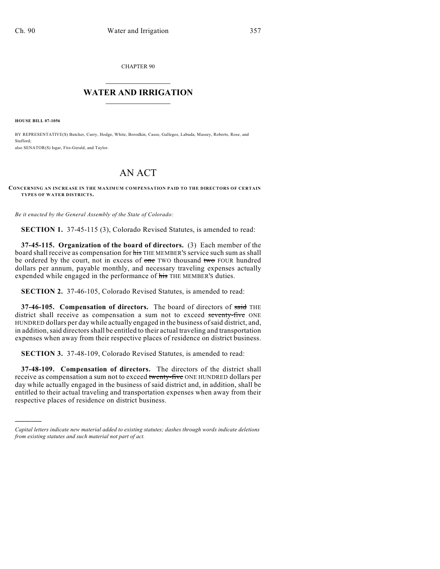CHAPTER 90

## $\overline{\phantom{a}}$  . The set of the set of the set of the set of the set of the set of the set of the set of the set of the set of the set of the set of the set of the set of the set of the set of the set of the set of the set o **WATER AND IRRIGATION**  $\_$   $\_$

**HOUSE BILL 07-1056**

)))))

BY REPRESENTATIVE(S) Butcher, Curry, Hodge, White, Borodkin, Casso, Gallegos, Labuda, Massey, Roberts, Rose, and Stafford; also SENATOR(S) Isgar, Fitz-Gerald, and Taylor.

## AN ACT

**CONCERNING AN INCREASE IN THE MAXIMUM COMPENSATION PAID TO THE DIRECTORS OF CERTAIN TYPES OF WATER DISTRICTS.**

*Be it enacted by the General Assembly of the State of Colorado:*

**SECTION 1.** 37-45-115 (3), Colorado Revised Statutes, is amended to read:

**37-45-115. Organization of the board of directors.** (3) Each member of the board shall receive as compensation for his THE MEMBER'S service such sum as shall be ordered by the court, not in excess of one TWO thousand two FOUR hundred dollars per annum, payable monthly, and necessary traveling expenses actually expended while engaged in the performance of his THE MEMBER'S duties.

**SECTION 2.** 37-46-105, Colorado Revised Statutes, is amended to read:

**37-46-105. Compensation of directors.** The board of directors of said THE district shall receive as compensation a sum not to exceed seventy-five ONE HUNDRED dollars per day while actually engaged in the business ofsaid district, and, in addition, said directors shall be entitled to their actual traveling and transportation expenses when away from their respective places of residence on district business.

**SECTION 3.** 37-48-109, Colorado Revised Statutes, is amended to read:

**37-48-109. Compensation of directors.** The directors of the district shall receive as compensation a sum not to exceed twenty-five ONE HUNDRED dollars per day while actually engaged in the business of said district and, in addition, shall be entitled to their actual traveling and transportation expenses when away from their respective places of residence on district business.

*Capital letters indicate new material added to existing statutes; dashes through words indicate deletions from existing statutes and such material not part of act.*